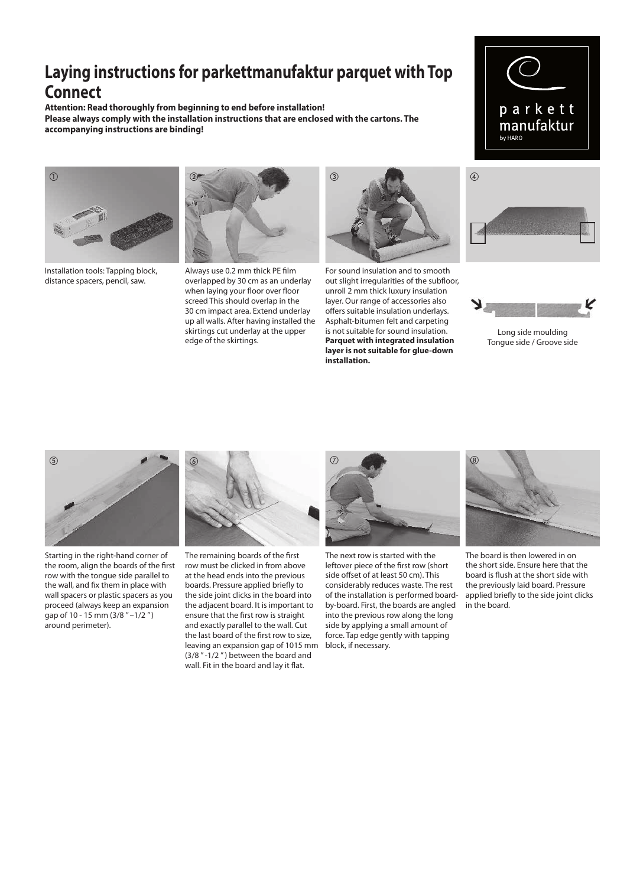## **Laying instructions for parkettmanufaktur parquet with Top Connect**

**Attention: Read thoroughly from beginning to end before installation! Please always comply with the installation instructions that are enclosed with the cartons. The accompanying instructions are binding!**



Installation tools: Tapping block, distance spacers, pencil, saw.



Always use 0.2 mm thick PE film overlapped by 30 cm as an underlay when laying your floor over floor screed This should overlap in the 30 cm impact area. Extend underlay up all walls. After having installed the skirtings cut underlay at the upper edge of the skirtings.



For sound insulation and to smooth out slight irregularities of the subfloor, unroll 2 mm thick luxury insulation layer. Our range of accessories also offers suitable insulation underlays. Asphalt-bitumen felt and carpeting is not suitable for sound insulation. **Parquet with integrated insulation layer is not suitable for glue-down installation.**





Long side moulding Tongue side / Groove side



Starting in the right-hand corner of the room, align the boards of the first row with the tongue side parallel to the wall, and fix them in place with wall spacers or plastic spacers as you proceed (always keep an expansion gap of 10 - 15 mm (3/8 " –1/2 " ) around perimeter).



The remaining boards of the first row must be clicked in from above at the head ends into the previous boards. Pressure applied briefly to the side joint clicks in the board into the adjacent board. It is important to ensure that the first row is straight and exactly parallel to the wall. Cut the last board of the first row to size, leaving an expansion gap of 1015 mm (3/8 " -1/2 " ) between the board and wall. Fit in the board and lay it flat.



The next row is started with the leftover piece of the first row (short side offset of at least 50 cm). This considerably reduces waste. The rest of the installation is performed boardby-board. First, the boards are angled into the previous row along the long side by applying a small amount of force. Tap edge gently with tapping block, if necessary.



The board is then lowered in on the short side. Ensure here that the board is flush at the short side with the previously laid board. Pressure applied briefly to the side joint clicks in the board.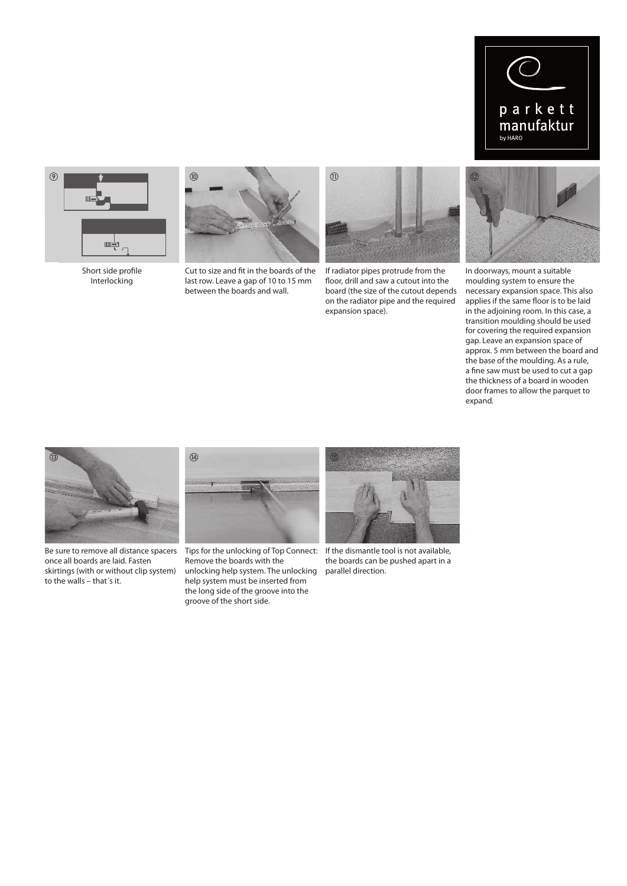



Short side profile Interlocking



Cut to size and fit in the boards of the last row. Leave a gap of 10 to 15 mm between the boards and wall.



If radiator pipes protrude from the floor, drill and saw a cutout into the board (the size of the cutout depends on the radiator pipe and the required expansion space).



In doorways, mount a suitable moulding system to ensure the necessary expansion space. This also applies if the same floor is to be laid in the adjoining room. In this case, a transition moulding should be used for covering the required expansion gap. Leave an expansion space of approx. 5 mm between the board and the base of the moulding. As a rule, a fine saw must be used to cut a gap the thickness of a board in wooden door frames to allow the parquet to expand.



Be sure to remove all distance spacers once all boards are laid. Fasten skirtings (with or without clip system) to the walls – that´s it.



Tips for the unlocking of Top Connect: If the dismantle tool is not available, Remove the boards with the unlocking help system. The unlocking help system must be inserted from the long side of the groove into the groove of the short side.



the boards can be pushed apart in a parallel direction.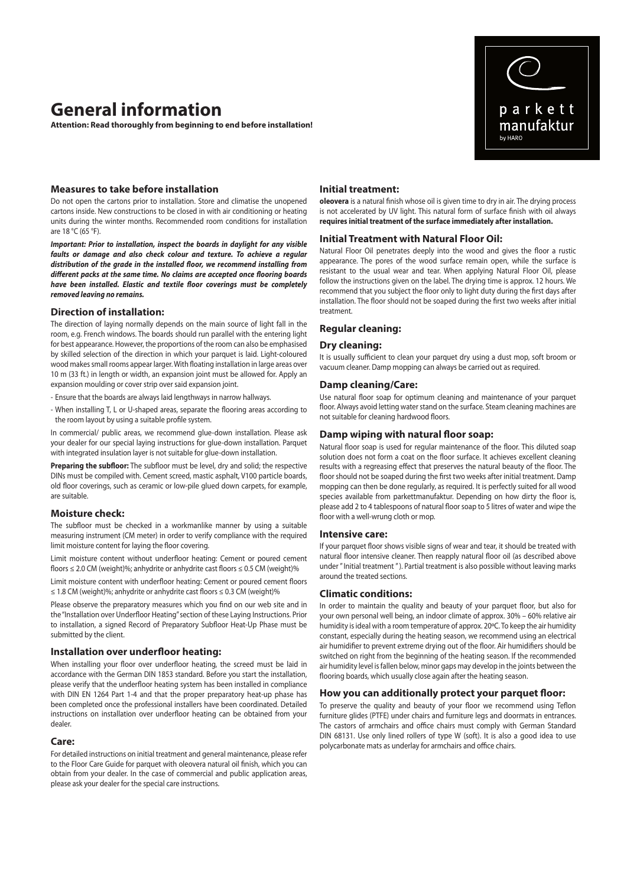# **General information**

**Attention: Read thoroughly from beginning to end before installation!** 

## **Measures to take before installation**

Do not open the cartons prior to installation. Store and climatise the unopened cartons inside. New constructions to be closed in with air conditioning or heating units during the winter months. Recommended room conditions for installation are 18 °C (65 °F).

*Important: Prior to installation, inspect the boards in daylight for any visible faults or damage and also check colour and texture. To achieve a regular distribution of the grade in the installed floor, we recommend installing from different packs at the same time. No claims are accepted once flooring boards have been installed. Elastic and textile floor coverings must be completely removed leaving no remains.* 

#### **Direction of installation:**

The direction of laying normally depends on the main source of light fall in the room, e.g. French windows. The boards should run parallel with the entering light for best appearance. However, the proportions of the room can also be emphasised by skilled selection of the direction in which your parquet is laid. Light-coloured wood makes small rooms appear larger. With floating installation in large areas over 10 m (33 ft.) in length or width, an expansion joint must be allowed for. Apply an expansion moulding or cover strip over said expansion joint.

- Ensure that the boards are always laid lengthways in narrow hallways.

- When installing T, L or U-shaped areas, separate the flooring areas according to the room layout by using a suitable profile system.

In commercial/ public areas, we recommend glue-down installation. Please ask your dealer for our special laying instructions for glue-down installation. Parquet with integrated insulation layer is not suitable for glue-down installation.

**Preparing the subfloor:** The subfloor must be level, dry and solid; the respective DINs must be compiled with. Cement screed, mastic asphalt, V100 particle boards, old floor coverings, such as ceramic or low-pile glued down carpets, for example, are suitable.

#### **Moisture check:**

The subfloor must be checked in a workmanlike manner by using a suitable measuring instrument (CM meter) in order to verify compliance with the required limit moisture content for laying the floor covering.

Limit moisture content without underfloor heating: Cement or poured cement floors ≤ 2.0 CM (weight)%; anhydrite or anhydrite cast floors ≤ 0.5 CM (weight)%

Limit moisture content with underfloor heating: Cement or poured cement floors ≤ 1.8 CM (weight)%; anhydrite or anhydrite cast floors ≤ 0.3 CM (weight)%

Please observe the preparatory measures which you find on our web site and in the "Installation over Underfloor Heating" section of these Laying Instructions. Prior to installation, a signed Record of Preparatory Subfloor Heat-Up Phase must be submitted by the client.

#### **Installation over underfloor heating:**

When installing your floor over underfloor heating, the screed must be laid in accordance with the German DIN 1853 standard. Before you start the installation, please verify that the underfloor heating system has been installed in compliance with DIN EN 1264 Part 1-4 and that the proper preparatory heat-up phase has been completed once the professional installers have been coordinated. Detailed instructions on installation over underfloor heating can be obtained from your dealer.

#### **Care:**

For detailed instructions on initial treatment and general maintenance, please refer to the Floor Care Guide for parquet with oleovera natural oil finish, which you can obtain from your dealer. In the case of commercial and public application areas, please ask your dealer for the special care instructions.

## **Initial treatment:**

**oleovera** is a natural finish whose oil is given time to dry in air. The drying process is not accelerated by UV light. This natural form of surface finish with oil always **requires initial treatment of the surface immediately after installation.**

#### **Initial Treatment with Natural Floor Oil:**

Natural Floor Oil penetrates deeply into the wood and gives the floor a rustic appearance. The pores of the wood surface remain open, while the surface is resistant to the usual wear and tear. When applying Natural Floor Oil, please follow the instructions given on the label. The drying time is approx. 12 hours. We recommend that you subject the floor only to light duty during the first days after installation. The floor should not be soaped during the first two weeks after initial treatment.

#### **Regular cleaning:**

## **Dry cleaning:**

It is usually sufficient to clean your parquet dry using a dust mop, soft broom or vacuum cleaner. Damp mopping can always be carried out as required.

#### **Damp cleaning/Care:**

Use natural floor soap for optimum cleaning and maintenance of your parquet floor. Always avoid letting water stand on the surface. Steam cleaning machines are not suitable for cleaning hardwood floors.

#### **Damp wiping with natural floor soap:**

Natural floor soap is used for regular maintenance of the floor. This diluted soap solution does not form a coat on the floor surface. It achieves excellent cleaning results with a regreasing effect that preserves the natural beauty of the floor. The floor should not be soaped during the first two weeks after initial treatment. Damp mopping can then be done regularly, as required. It is perfectly suited for all wood species available from parkettmanufaktur. Depending on how dirty the floor is, please add 2 to 4 tablespoons of natural floor soap to 5 litres of water and wipe the floor with a well-wrung cloth or mop.

### **Intensive care:**

If your parquet floor shows visible signs of wear and tear, it should be treated with natural floor intensive cleaner. Then reapply natural floor oil (as described above under " Initial treatment " ). Partial treatment is also possible without leaving marks around the treated sections.

#### **Climatic conditions:**

In order to maintain the quality and beauty of your parquet floor, but also for your own personal well being, an indoor climate of approx. 30% – 60% relative air humidity is ideal with a room temperature of approx. 20ºC. To keep the air humidity constant, especially during the heating season, we recommend using an electrical air humidifier to prevent extreme drying out of the floor. Air humidifiers should be switched on right from the beginning of the heating season. If the recommended air humidity level is fallen below, minor gaps may develop in the joints between the flooring boards, which usually close again after the heating season.

#### **How you can additionally protect your parquet floor:**

To preserve the quality and beauty of your floor we recommend using Teflon furniture glides (PTFE) under chairs and furniture legs and doormats in entrances. The castors of armchairs and office chairs must comply with German Standard DIN 68131. Use only lined rollers of type W (soft). It is also a good idea to use polycarbonate mats as underlay for armchairs and office chairs.